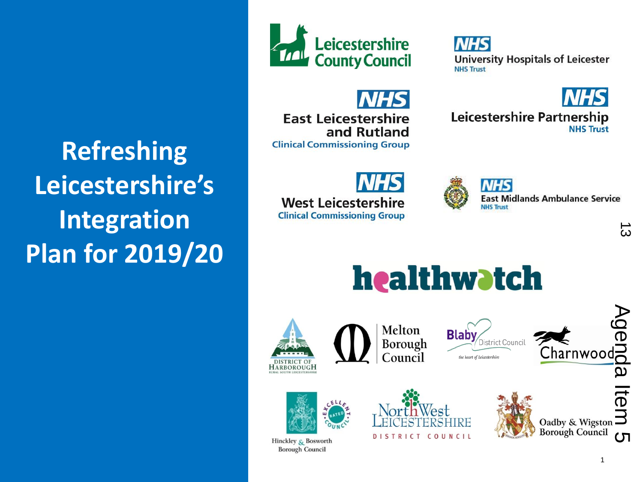**Refreshing Leicestershire's Integration Plan for 2019/20**



**NHS University Hospitals of Leicester NHS Trust** 

**Leicestershire Partnership** 

NHS

**East Leicestershire** and Rutland **Clinical Commissioning Group** 

**West Leicestershire** 

**Clinical Commissioning Group** 



**East Midlands Ambulance Service** 

**NHS Trust** 

 $\vec{\omega}$ 



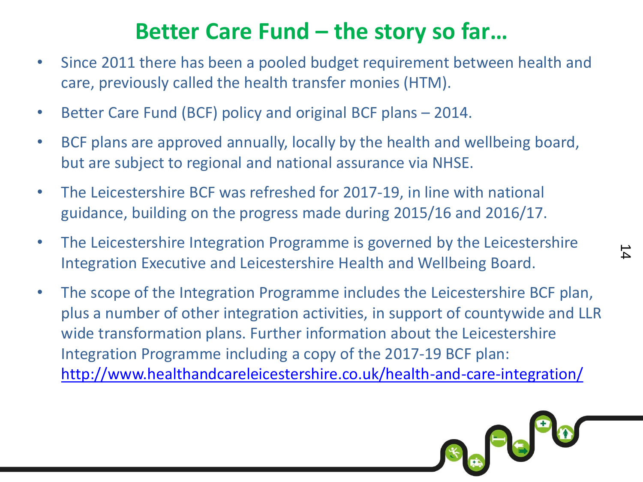#### **Better Care Fund – the story so far…**

- Since 2011 there has been a pooled budget requirement between health and care, previously called the health transfer monies (HTM).
- Better Care Fund (BCF) policy and original BCF plans 2014.
- BCF plans are approved annually, locally by the health and wellbeing board, but are subject to regional and national assurance via NHSE.
- The Leicestershire BCF was refreshed for 2017-19, in line with national guidance, building on the progress made during 2015/16 and 2016/17.
- The Leicestershire Integration Programme is governed by the Leicestershire Integration Executive and Leicestershire Health and Wellbeing Board.
- The scope of the Integration Programme includes the Leicestershire BCF plan, plus a number of other integration activities, in support of countywide and LLR wide transformation plans. Further information about the Leicestershire Integration Programme including a copy of the 2017-19 BCF plan: <http://www.healthandcareleicestershire.co.uk/health-and-care-integration/>



 $\Delta$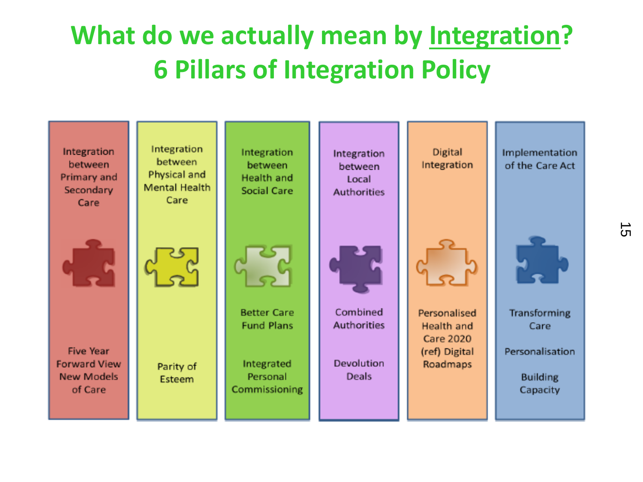### **What do we actually mean by Integration? 6 Pillars of Integration Policy**



 $\sigma$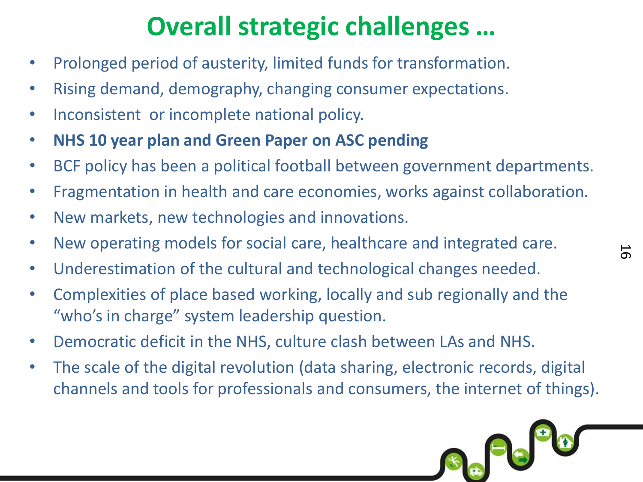### **Overall strategic challenges …**

- Prolonged period of austerity, limited funds for transformation.
- Rising demand, demography, changing consumer expectations.
- Inconsistent or incomplete national policy.
- **NHS 10 year plan and Green Paper on ASC pending**
- BCF policy has been a political football between government departments.
- Fragmentation in health and care economies, works against collaboration.

 $\vec{0}$ 

SA<sup>H</sup>S

- New markets, new technologies and innovations.
- New operating models for social care, healthcare and integrated care.
- Underestimation of the cultural and technological changes needed.
- Complexities of place based working, locally and sub regionally and the "who's in charge" system leadership question.
- Democratic deficit in the NHS, culture clash between LAs and NHS.
- The scale of the digital revolution (data sharing, electronic records, digital channels and tools for professionals and consumers, the internet of things).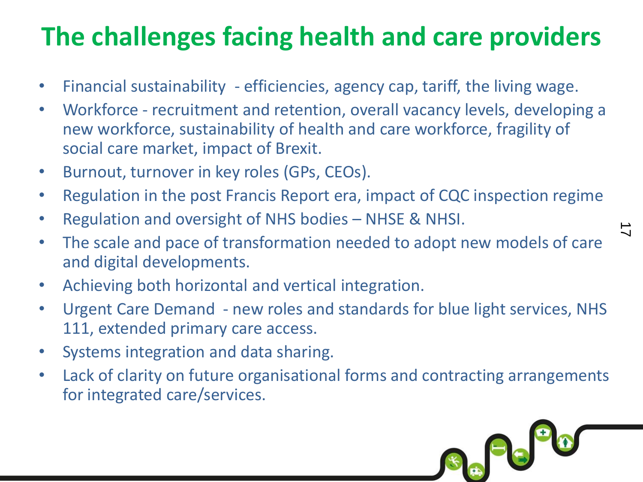### **The challenges facing health and care providers**

- Financial sustainability efficiencies, agency cap, tariff, the living wage.
- Workforce recruitment and retention, overall vacancy levels, developing a new workforce, sustainability of health and care workforce, fragility of social care market, impact of Brexit.
- Burnout, turnover in key roles (GPs, CEOs).
- Regulation in the post Francis Report era, impact of CQC inspection regime
- Regulation and oversight of NHS bodies NHSE & NHSI.
- The scale and pace of transformation needed to adopt new models of care and digital developments.
- Achieving both horizontal and vertical integration.
- Urgent Care Demand new roles and standards for blue light services, NHS 111, extended primary care access.
- Systems integration and data sharing.
- Lack of clarity on future organisational forms and contracting arrangements for integrated care/services.



 $\vec{\phantom{a}}$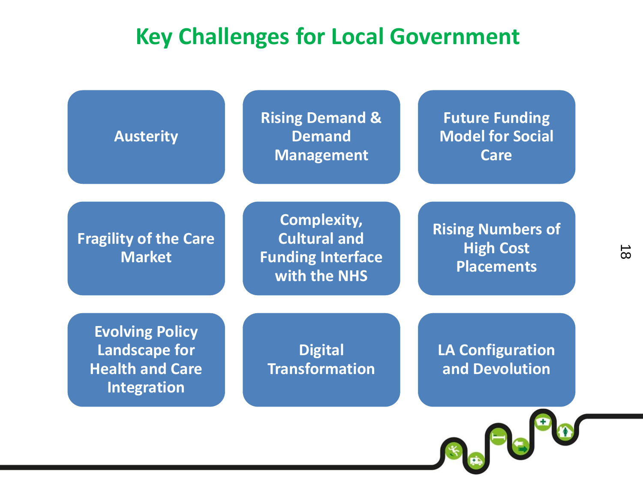#### **Key Challenges for Local Government**

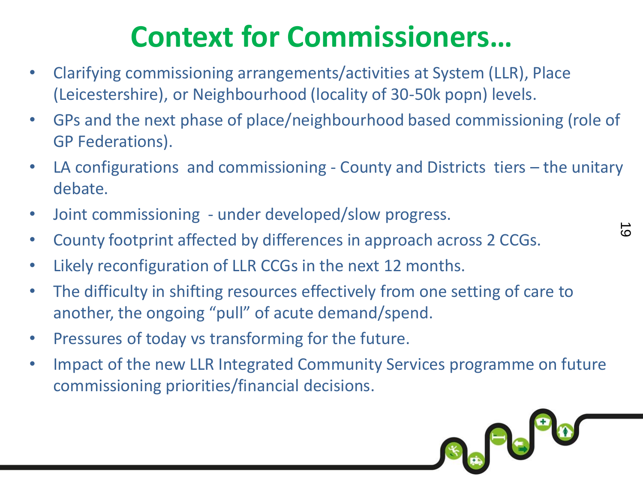### **Context for Commissioners…**

- Clarifying commissioning arrangements/activities at System (LLR), Place (Leicestershire), or Neighbourhood (locality of 30-50k popn) levels.
- GPs and the next phase of place/neighbourhood based commissioning (role of GP Federations).
- LA configurations and commissioning County and Districts tiers the unitary debate.
- Joint commissioning under developed/slow progress.
- County footprint affected by differences in approach across 2 CCGs.
- Likely reconfiguration of LLR CCGs in the next 12 months.
- The difficulty in shifting resources effectively from one setting of care to another, the ongoing "pull" of acute demand/spend.
- Pressures of today vs transforming for the future.
- Impact of the new LLR Integrated Community Services programme on future commissioning priorities/financial decisions.



 $\Omega$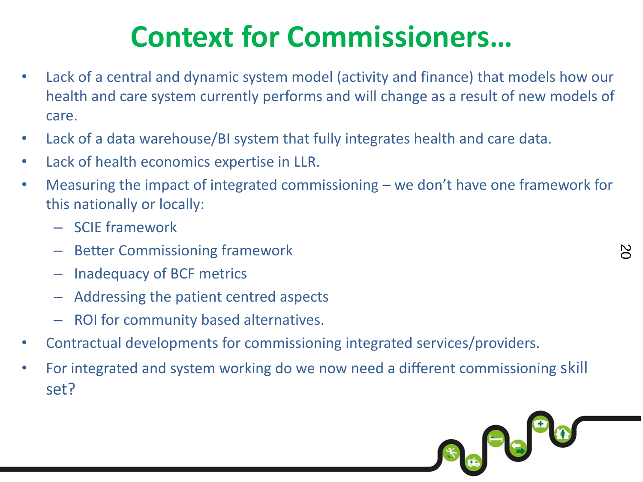### **Context for Commissioners…**

- Lack of a central and dynamic system model (activity and finance) that models how our health and care system currently performs and will change as a result of new models of care.
- Lack of a data warehouse/BI system that fully integrates health and care data.
- Lack of health economics expertise in LLR.
- Measuring the impact of integrated commissioning we don't have one framework for this nationally or locally:
	- SCIE framework
	- Better Commissioning framework
	- Inadequacy of BCF metrics
	- Addressing the patient centred aspects
	- ROI for community based alternatives.
- Contractual developments for commissioning integrated services/providers.
- For integrated and system working do we now need a different commissioning skill set?

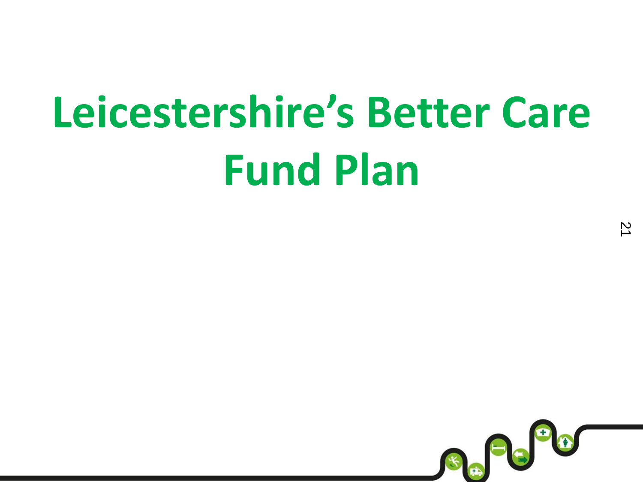# **Leicestershire's Better Care Fund Plan**

 $\overline{2}$ 

\$ #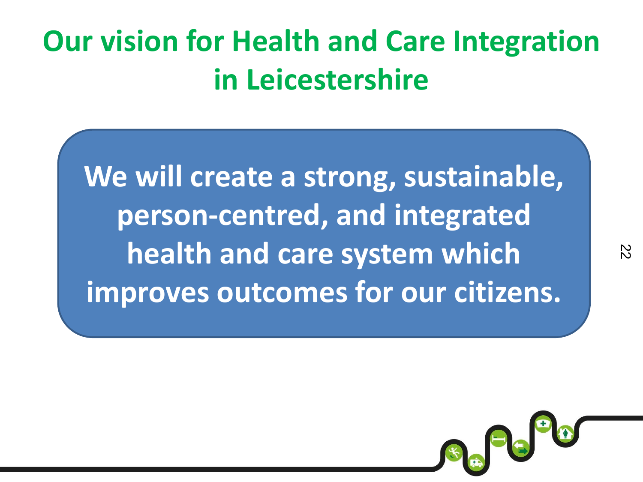## **Our vision for Health and Care Integration in Leicestershire**

**We will create a strong, sustainable, person-centred, and integrated health and care system which improves outcomes for our citizens.**

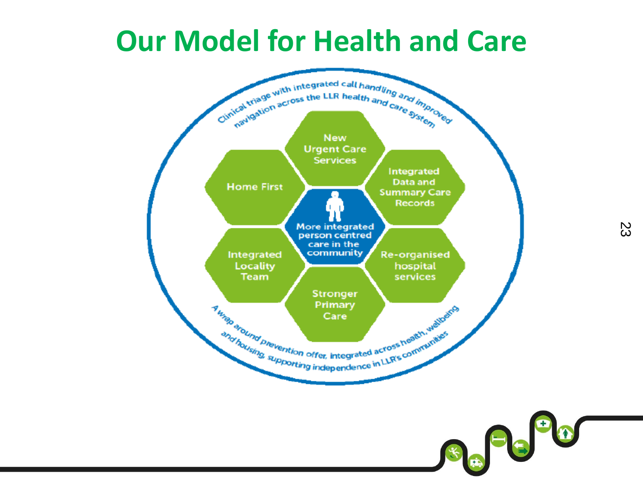### **Our Model for Health and Care**



Sa Pe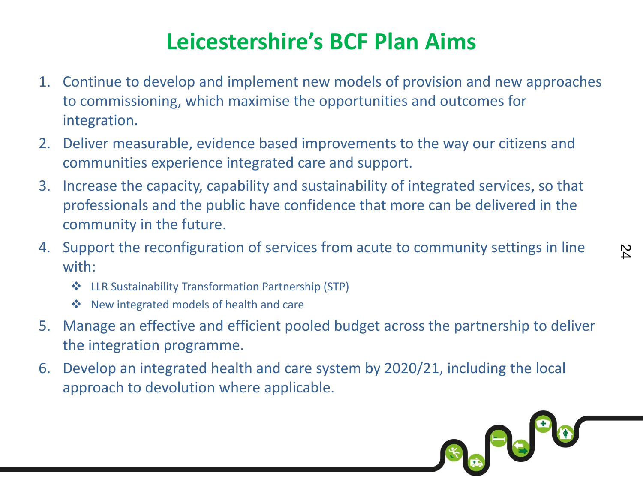### **Leicestershire's BCF Plan Aims**

- 1. Continue to develop and implement new models of provision and new approaches to commissioning, which maximise the opportunities and outcomes for integration.
- 2. Deliver measurable, evidence based improvements to the way our citizens and communities experience integrated care and support.
- 3. Increase the capacity, capability and sustainability of integrated services, so that professionals and the public have confidence that more can be delivered in the community in the future.
- 4. Support the reconfiguration of services from acute to community settings in line with:
	- LLR Sustainability Transformation Partnership (STP)
	- New integrated models of health and care
- 5. Manage an effective and efficient pooled budget across the partnership to deliver the integration programme.
- 6. Develop an integrated health and care system by 2020/21, including the local approach to devolution where applicable.

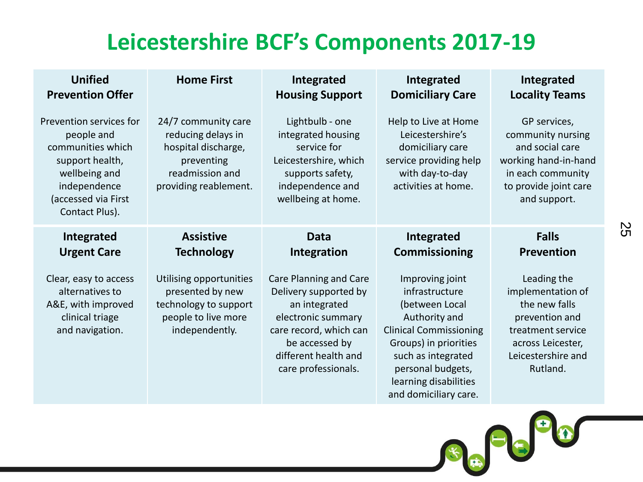#### **Leicestershire BCF's Components 2017-19**

| <b>Unified</b>                                                                                                                                          | <b>Home First</b>                                                                                                          | Integrated                                                                                                                                                                        | Integrated                                                                                                                                                                                                                  | Integrated                                                                                                                                      |
|---------------------------------------------------------------------------------------------------------------------------------------------------------|----------------------------------------------------------------------------------------------------------------------------|-----------------------------------------------------------------------------------------------------------------------------------------------------------------------------------|-----------------------------------------------------------------------------------------------------------------------------------------------------------------------------------------------------------------------------|-------------------------------------------------------------------------------------------------------------------------------------------------|
| <b>Prevention Offer</b>                                                                                                                                 |                                                                                                                            | <b>Housing Support</b>                                                                                                                                                            | <b>Domiciliary Care</b>                                                                                                                                                                                                     | <b>Locality Teams</b>                                                                                                                           |
| Prevention services for<br>people and<br>communities which<br>support health,<br>wellbeing and<br>independence<br>(accessed via First<br>Contact Plus). | 24/7 community care<br>reducing delays in<br>hospital discharge,<br>preventing<br>readmission and<br>providing reablement. | Lightbulb - one<br>integrated housing<br>service for<br>Leicestershire, which<br>supports safety,<br>independence and<br>wellbeing at home.                                       | Help to Live at Home<br>Leicestershire's<br>domiciliary care<br>service providing help<br>with day-to-day<br>activities at home.                                                                                            | GP services,<br>community nursing<br>and social care<br>working hand-in-hand<br>in each community<br>to provide joint care<br>and support.      |
| Integrated                                                                                                                                              | <b>Assistive</b>                                                                                                           | Data                                                                                                                                                                              | Integrated                                                                                                                                                                                                                  | <b>Falls</b>                                                                                                                                    |
| <b>Urgent Care</b>                                                                                                                                      | <b>Technology</b>                                                                                                          | Integration                                                                                                                                                                       | <b>Commissioning</b>                                                                                                                                                                                                        | <b>Prevention</b>                                                                                                                               |
| Clear, easy to access<br>alternatives to<br>A&E, with improved<br>clinical triage<br>and navigation.                                                    | Utilising opportunities<br>presented by new<br>technology to support<br>people to live more<br>independently.              | Care Planning and Care<br>Delivery supported by<br>an integrated<br>electronic summary<br>care record, which can<br>be accessed by<br>different health and<br>care professionals. | Improving joint<br>infrastructure<br>(between Local<br>Authority and<br><b>Clinical Commissioning</b><br>Groups) in priorities<br>such as integrated<br>personal budgets,<br>learning disabilities<br>and domiciliary care. | Leading the<br>implementation of<br>the new falls<br>prevention and<br>treatment service<br>across Leicester,<br>Leicestershire and<br>Rutland. |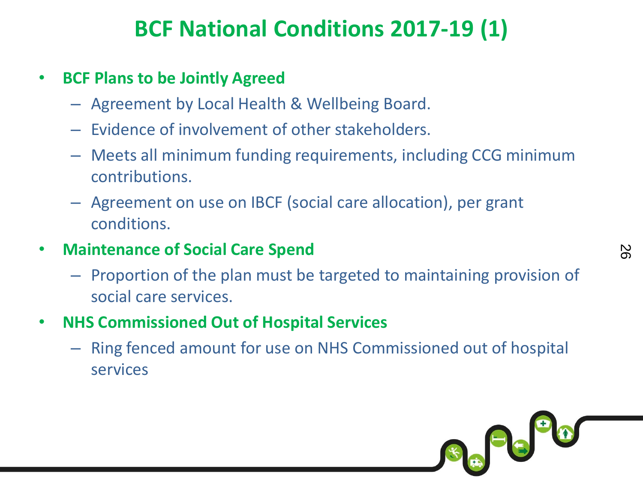### **BCF National Conditions 2017-19 (1)**

#### • **BCF Plans to be Jointly Agreed**

- Agreement by Local Health & Wellbeing Board.
- Evidence of involvement of other stakeholders.
- Meets all minimum funding requirements, including CCG minimum contributions.
- Agreement on use on IBCF (social care allocation), per grant conditions.
- **Maintenance of Social Care Spend**
	- Proportion of the plan must be targeted to maintaining provision of social care services.
- **NHS Commissioned Out of Hospital Services**
	- Ring fenced amount for use on NHS Commissioned out of hospital services

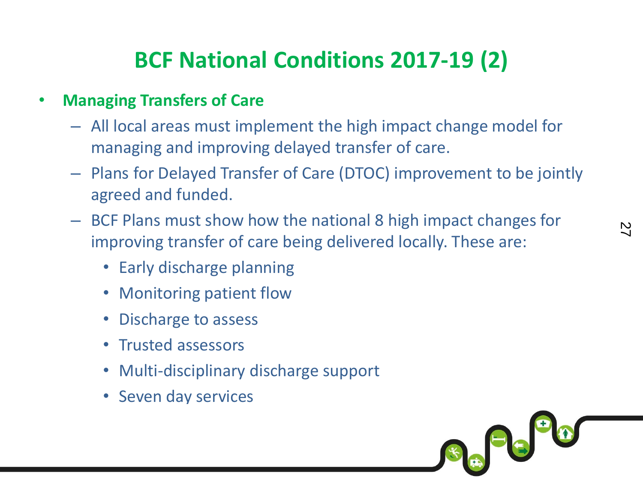#### **BCF National Conditions 2017-19 (2)**

#### • **Managing Transfers of Care**

- All local areas must implement the high impact change model for managing and improving delayed transfer of care.
- Plans for Delayed Transfer of Care (DTOC) improvement to be jointly agreed and funded.
- BCF Plans must show how the national 8 high impact changes for improving transfer of care being delivered locally. These are:
	- Early discharge planning
	- Monitoring patient flow
	- Discharge to assess
	- Trusted assessors
	- Multi-disciplinary discharge support
	- Seven day services

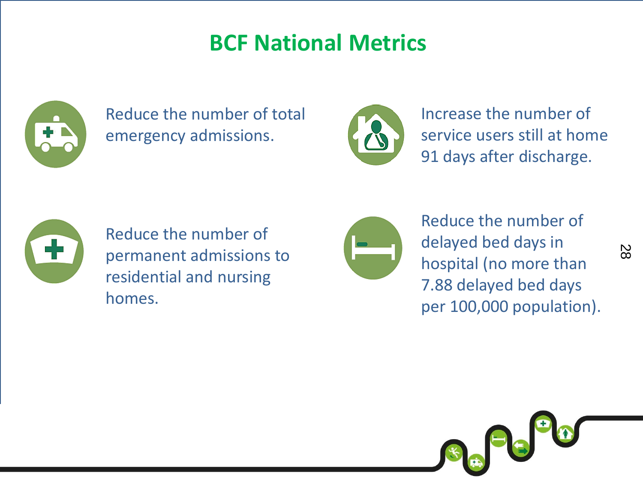#### **BCF National Metrics**



Reduce the number of total emergency admissions.



Increase the number of service users still at home 91 days after discharge.



Reduce the number of permanent admissions to residential and nursing homes.



Reduce the number of delayed bed days in hospital (no more than 7.88 delayed bed days per 100,000 population).

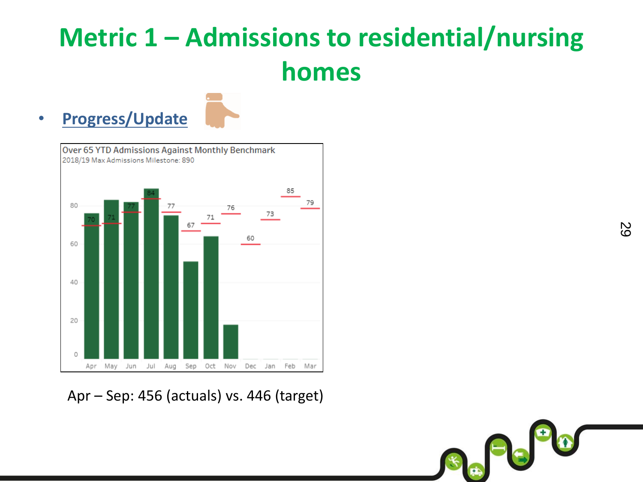### **Metric 1 – Admissions to residential/nursing homes**

29

 $\begin{picture}(180,10) \put(0,0){\line(1,0){15}} \put(10,0){\line(1,0){15}} \put(10,0){\line(1,0){15}} \put(10,0){\line(1,0){15}} \put(10,0){\line(1,0){15}} \put(10,0){\line(1,0){15}} \put(10,0){\line(1,0){15}} \put(10,0){\line(1,0){15}} \put(10,0){\line(1,0){15}} \put(10,0){\line(1,0){15}} \put(10,0){\line(1,0){15}} \put(10,0){\line($ 

#### • **Progress/Update**



Apr – Sep: 456 (actuals) vs. 446 (target)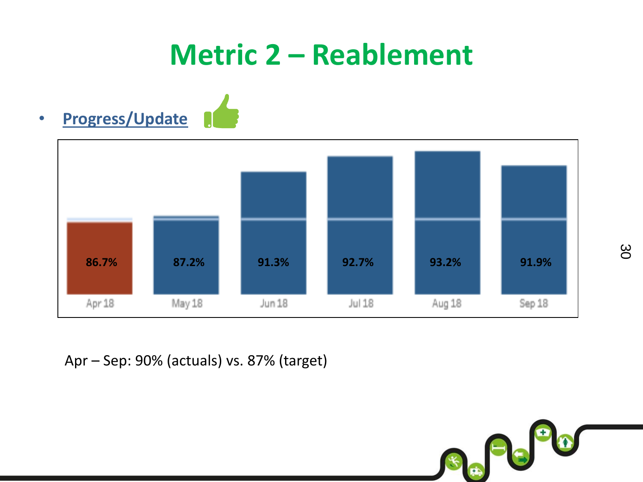### **Metric 2 – Reablement**





Apr – Sep: 90% (actuals) vs. 87% (target)

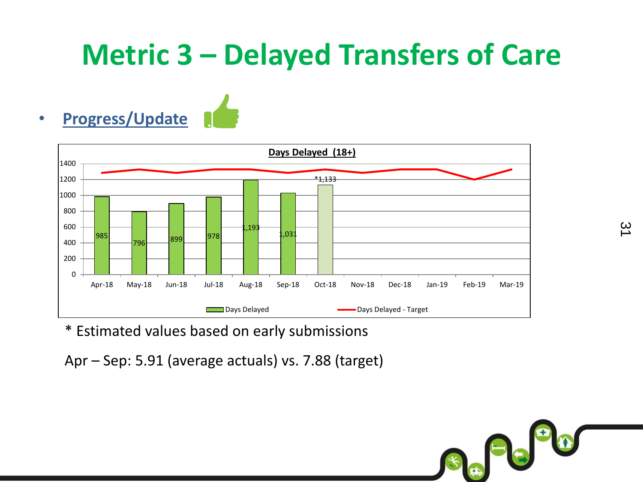### **Metric 3 – Delayed Transfers of Care**





\* Estimated values based on early submissions

Apr – Sep: 5.91 (average actuals) vs. 7.88 (target)

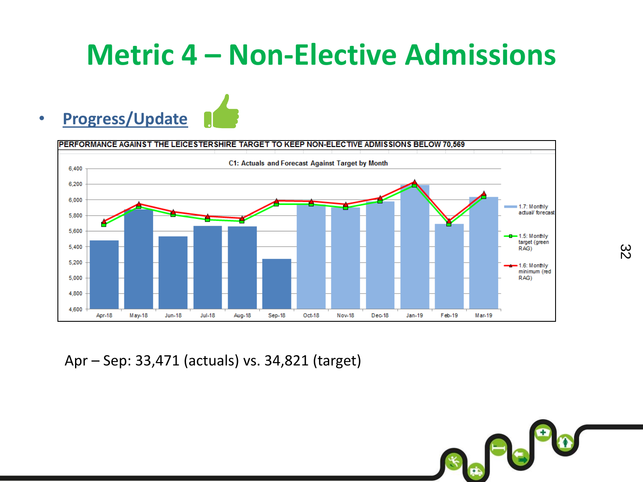### **Metric 4 – Non-Elective Admissions**

#### • **Progress/Update**



Apr – Sep: 33,471 (actuals) vs. 34,821 (target)

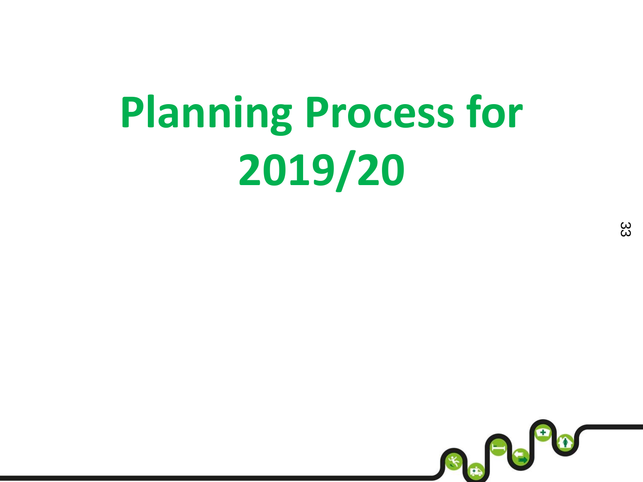# **Planning Process for 2019/20**

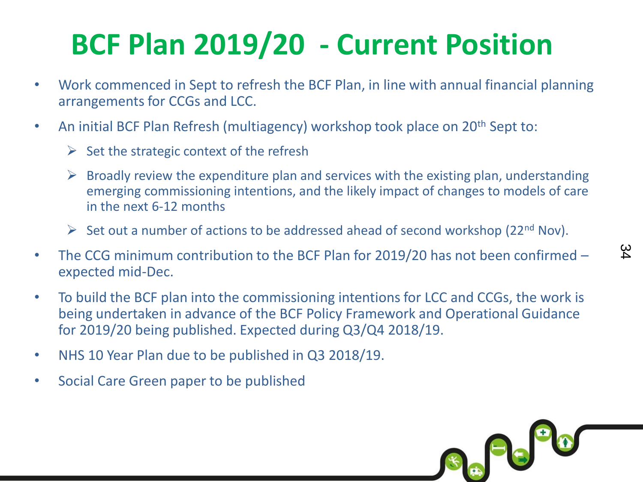### **BCF Plan 2019/20 - Current Position**

- Work commenced in Sept to refresh the BCF Plan, in line with annual financial planning arrangements for CCGs and LCC.
- An initial BCF Plan Refresh (multiagency) workshop took place on 20<sup>th</sup> Sept to:
	- $\triangleright$  Set the strategic context of the refresh
	- $\triangleright$  Broadly review the expenditure plan and services with the existing plan, understanding emerging commissioning intentions, and the likely impact of changes to models of care in the next 6-12 months

34

Se Pe

- $\triangleright$  Set out a number of actions to be addressed ahead of second workshop (22<sup>nd</sup> Nov).
- The CCG minimum contribution to the BCF Plan for 2019/20 has not been confirmed expected mid-Dec.
- To build the BCF plan into the commissioning intentions for LCC and CCGs, the work is being undertaken in advance of the BCF Policy Framework and Operational Guidance for 2019/20 being published. Expected during Q3/Q4 2018/19.
- NHS 10 Year Plan due to be published in Q3 2018/19.
- Social Care Green paper to be published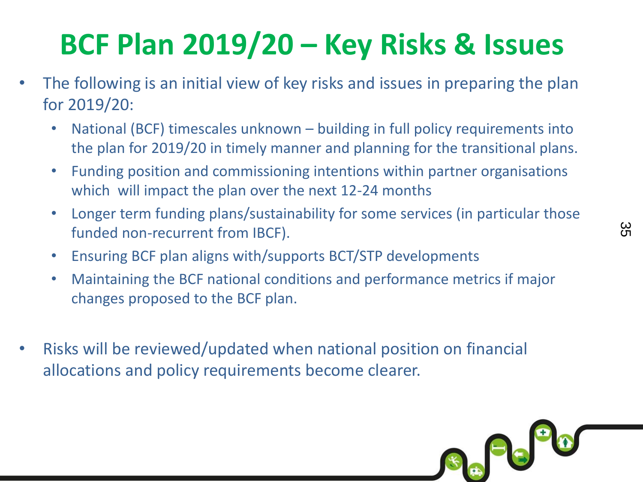## **BCF Plan 2019/20 – Key Risks & Issues**

- The following is an initial view of key risks and issues in preparing the plan for 2019/20:
	- National (BCF) timescales unknown building in full policy requirements into the plan for 2019/20 in timely manner and planning for the transitional plans.
	- Funding position and commissioning intentions within partner organisations which will impact the plan over the next 12-24 months
	- Longer term funding plans/sustainability for some services (in particular those funded non-recurrent from IBCF).
	- Ensuring BCF plan aligns with/supports BCT/STP developments
	- Maintaining the BCF national conditions and performance metrics if major changes proposed to the BCF plan.
- Risks will be reviewed/updated when national position on financial allocations and policy requirements become clearer.